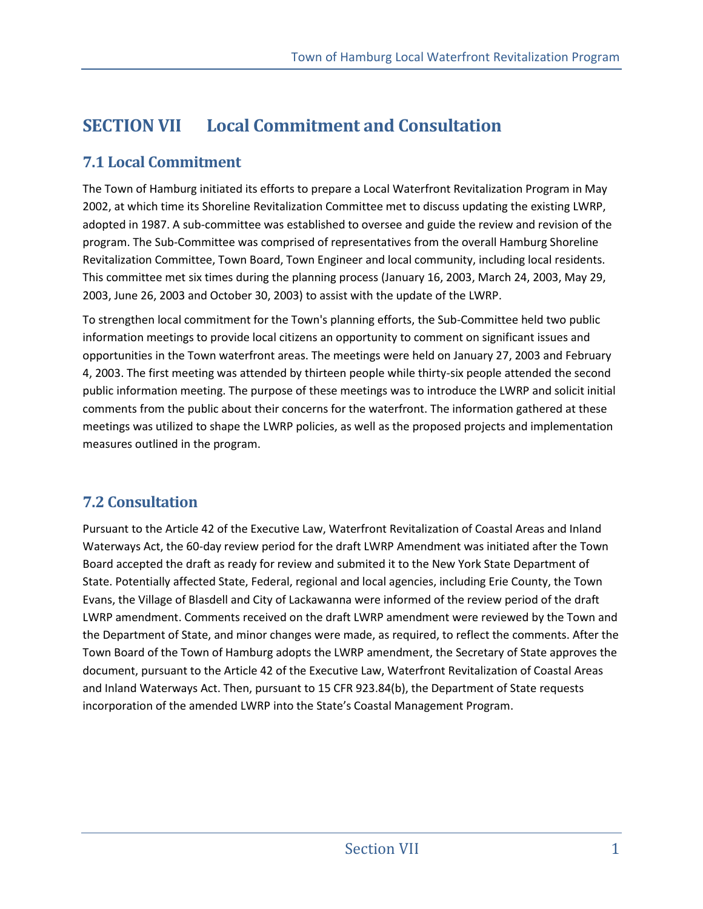# **SECTION VII Local Commitment and Consultation**

### **7.1 Local Commitment**

The Town of Hamburg initiated its efforts to prepare a Local Waterfront Revitalization Program in May 2002, at which time its Shoreline Revitalization Committee met to discuss updating the existing LWRP, adopted in 1987. A sub-committee was established to oversee and guide the review and revision of the program. The Sub-Committee was comprised of representatives from the overall Hamburg Shoreline Revitalization Committee, Town Board, Town Engineer and local community, including local residents. This committee met six times during the planning process (January 16, 2003, March 24, 2003, May 29, 2003, June 26, 2003 and October 30, 2003) to assist with the update of the LWRP.

To strengthen local commitment for the Town's planning efforts, the Sub-Committee held two public information meetings to provide local citizens an opportunity to comment on significant issues and opportunities in the Town waterfront areas. The meetings were held on January 27, 2003 and February 4, 2003. The first meeting was attended by thirteen people while thirty-six people attended the second public information meeting. The purpose of these meetings was to introduce the LWRP and solicit initial comments from the public about their concerns for the waterfront. The information gathered at these meetings was utilized to shape the LWRP policies, as well as the proposed projects and implementation measures outlined in the program.

### **7.2 Consultation**

Pursuant to the Article 42 of the Executive Law, Waterfront Revitalization of Coastal Areas and Inland Waterways Act, the 60-day review period for the draft LWRP Amendment was initiated after the Town Board accepted the draft as ready for review and submited it to the New York State Department of State. Potentially affected State, Federal, regional and local agencies, including Erie County, the Town Evans, the Village of Blasdell and City of Lackawanna were informed of the review period of the draft LWRP amendment. Comments received on the draft LWRP amendment were reviewed by the Town and the Department of State, and minor changes were made, as required, to reflect the comments. After the Town Board of the Town of Hamburg adopts the LWRP amendment, the Secretary of State approves the document, pursuant to the Article 42 of the Executive Law, Waterfront Revitalization of Coastal Areas and Inland Waterways Act. Then, pursuant to 15 CFR 923.84(b), the Department of State requests incorporation of the amended LWRP into the State's Coastal Management Program.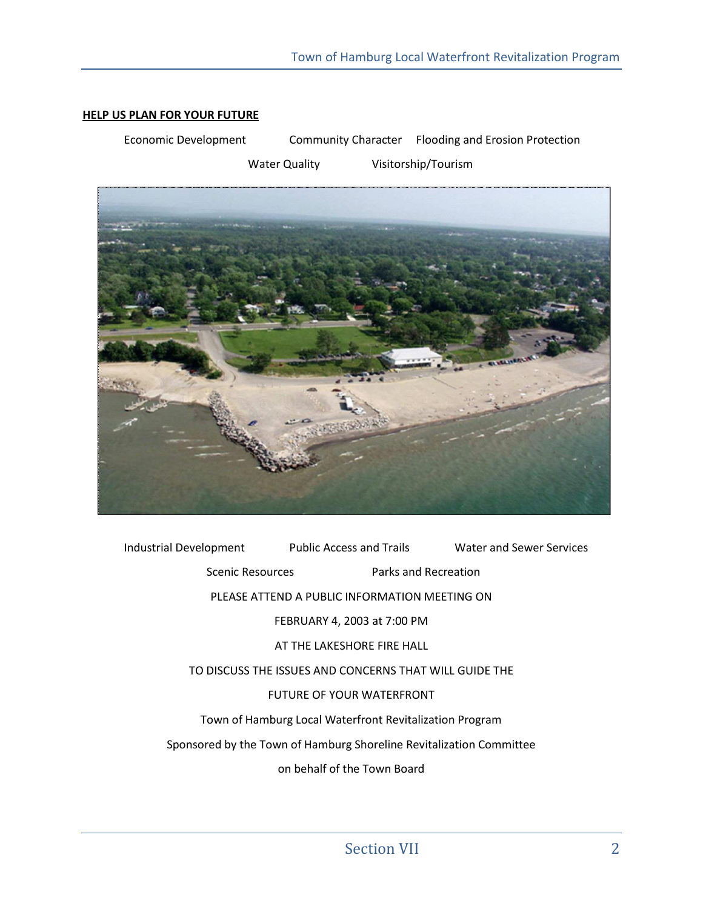#### **HELP US PLAN FOR YOUR FUTURE**

Economic Development Community Character Flooding and Erosion Protection

Water Quality **Visitorship/Tourism** 



Industrial Development Public Access and Trails Water and Sewer Services Scenic Resources Parks and Recreation PLEASE ATTEND A PUBLIC INFORMATION MEETING ON FEBRUARY 4, 2003 at 7:00 PM AT THE LAKESHORE FIRE HALL TO DISCUSS THE ISSUES AND CONCERNS THAT WILL GUIDE THE FUTURE OF YOUR WATERFRONT Town of Hamburg Local Waterfront Revitalization Program Sponsored by the Town of Hamburg Shoreline Revitalization Committee on behalf of the Town Board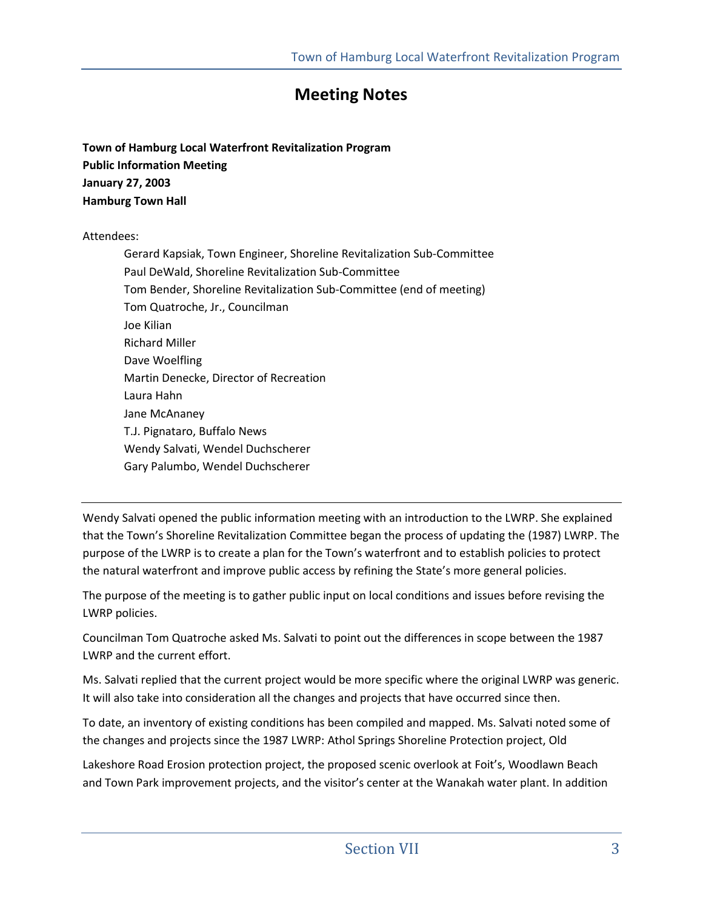## **Meeting Notes**

**Town of Hamburg Local Waterfront Revitalization Program Public Information Meeting January 27, 2003 Hamburg Town Hall** 

#### Attendees:

Gerard Kapsiak, Town Engineer, Shoreline Revitalization Sub-Committee Paul DeWald, Shoreline Revitalization Sub-Committee Tom Bender, Shoreline Revitalization Sub-Committee (end of meeting) Tom Quatroche, Jr., Councilman Joe Kilian Richard Miller Dave Woelfling Martin Denecke, Director of Recreation Laura Hahn Jane McAnaney T.J. Pignataro, Buffalo News Wendy Salvati, Wendel Duchscherer Gary Palumbo, Wendel Duchscherer

Wendy Salvati opened the public information meeting with an introduction to the LWRP. She explained that the Town's Shoreline Revitalization Committee began the process of updating the (1987) LWRP. The purpose of the LWRP is to create a plan for the Town's waterfront and to establish policies to protect the natural waterfront and improve public access by refining the State's more general policies.

The purpose of the meeting is to gather public input on local conditions and issues before revising the LWRP policies.

Councilman Tom Quatroche asked Ms. Salvati to point out the differences in scope between the 1987 LWRP and the current effort.

Ms. Salvati replied that the current project would be more specific where the original LWRP was generic. It will also take into consideration all the changes and projects that have occurred since then.

To date, an inventory of existing conditions has been compiled and mapped. Ms. Salvati noted some of the changes and projects since the 1987 LWRP: Athol Springs Shoreline Protection project, Old

Lakeshore Road Erosion protection project, the proposed scenic overlook at Foit's, Woodlawn Beach and Town Park improvement projects, and the visitor's center at the Wanakah water plant. In addition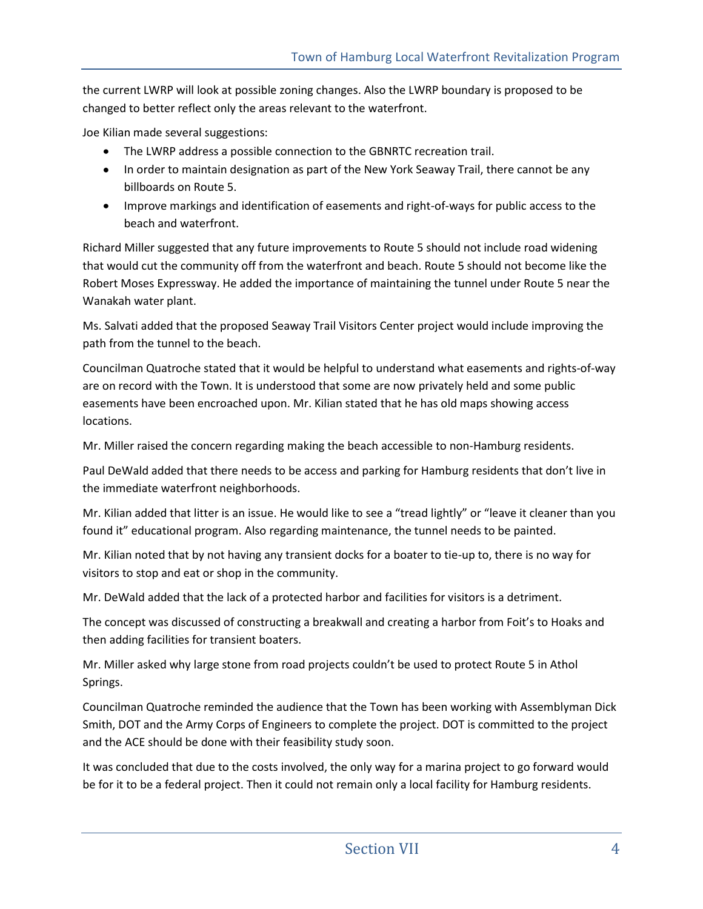the current LWRP will look at possible zoning changes. Also the LWRP boundary is proposed to be changed to better reflect only the areas relevant to the waterfront.

Joe Kilian made several suggestions:

- The LWRP address a possible connection to the GBNRTC recreation trail.  $\bullet$
- In order to maintain designation as part of the New York Seaway Trail, there cannot be any billboards on Route 5.
- Improve markings and identification of easements and right-of-ways for public access to the beach and waterfront.

Richard Miller suggested that any future improvements to Route 5 should not include road widening that would cut the community off from the waterfront and beach. Route 5 should not become like the Robert Moses Expressway. He added the importance of maintaining the tunnel under Route 5 near the Wanakah water plant.

Ms. Salvati added that the proposed Seaway Trail Visitors Center project would include improving the path from the tunnel to the beach.

Councilman Quatroche stated that it would be helpful to understand what easements and rights-of-way are on record with the Town. It is understood that some are now privately held and some public easements have been encroached upon. Mr. Kilian stated that he has old maps showing access locations.

Mr. Miller raised the concern regarding making the beach accessible to non-Hamburg residents.

Paul DeWald added that there needs to be access and parking for Hamburg residents that don't live in the immediate waterfront neighborhoods.

Mr. Kilian added that litter is an issue. He would like to see a "tread lightly" or "leave it cleaner than you found it" educational program. Also regarding maintenance, the tunnel needs to be painted.

Mr. Kilian noted that by not having any transient docks for a boater to tie-up to, there is no way for visitors to stop and eat or shop in the community.

Mr. DeWald added that the lack of a protected harbor and facilities for visitors is a detriment.

The concept was discussed of constructing a breakwall and creating a harbor from Foit's to Hoaks and then adding facilities for transient boaters.

Mr. Miller asked why large stone from road projects couldn't be used to protect Route 5 in Athol Springs.

Councilman Quatroche reminded the audience that the Town has been working with Assemblyman Dick Smith, DOT and the Army Corps of Engineers to complete the project. DOT is committed to the project and the ACE should be done with their feasibility study soon.

It was concluded that due to the costs involved, the only way for a marina project to go forward would be for it to be a federal project. Then it could not remain only a local facility for Hamburg residents.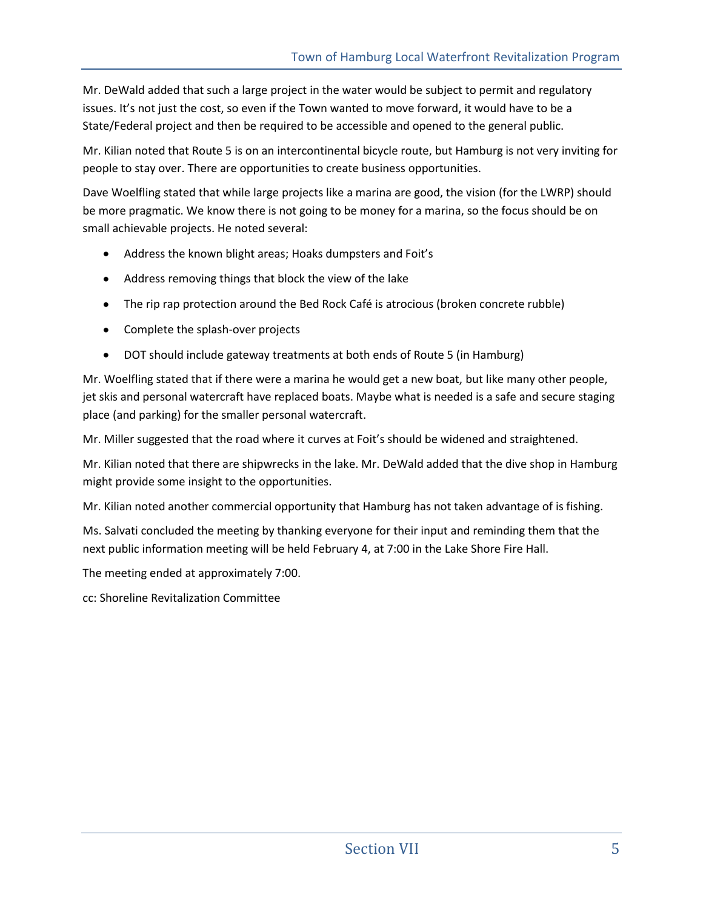Mr. DeWald added that such a large project in the water would be subject to permit and regulatory issues. It's not just the cost, so even if the Town wanted to move forward, it would have to be a State/Federal project and then be required to be accessible and opened to the general public.

Mr. Kilian noted that Route 5 is on an intercontinental bicycle route, but Hamburg is not very inviting for people to stay over. There are opportunities to create business opportunities.

Dave Woelfling stated that while large projects like a marina are good, the vision (for the LWRP) should be more pragmatic. We know there is not going to be money for a marina, so the focus should be on small achievable projects. He noted several:

- Address the known blight areas; Hoaks dumpsters and Foit's
- Address removing things that block the view of the lake
- The rip rap protection around the Bed Rock Café is atrocious (broken concrete rubble)
- Complete the splash-over projects
- DOT should include gateway treatments at both ends of Route 5 (in Hamburg)  $\bullet$

Mr. Woelfling stated that if there were a marina he would get a new boat, but like many other people, jet skis and personal watercraft have replaced boats. Maybe what is needed is a safe and secure staging place (and parking) for the smaller personal watercraft.

Mr. Miller suggested that the road where it curves at Foit's should be widened and straightened.

Mr. Kilian noted that there are shipwrecks in the lake. Mr. DeWald added that the dive shop in Hamburg might provide some insight to the opportunities.

Mr. Kilian noted another commercial opportunity that Hamburg has not taken advantage of is fishing.

Ms. Salvati concluded the meeting by thanking everyone for their input and reminding them that the next public information meeting will be held February 4, at 7:00 in the Lake Shore Fire Hall.

The meeting ended at approximately 7:00.

cc: Shoreline Revitalization Committee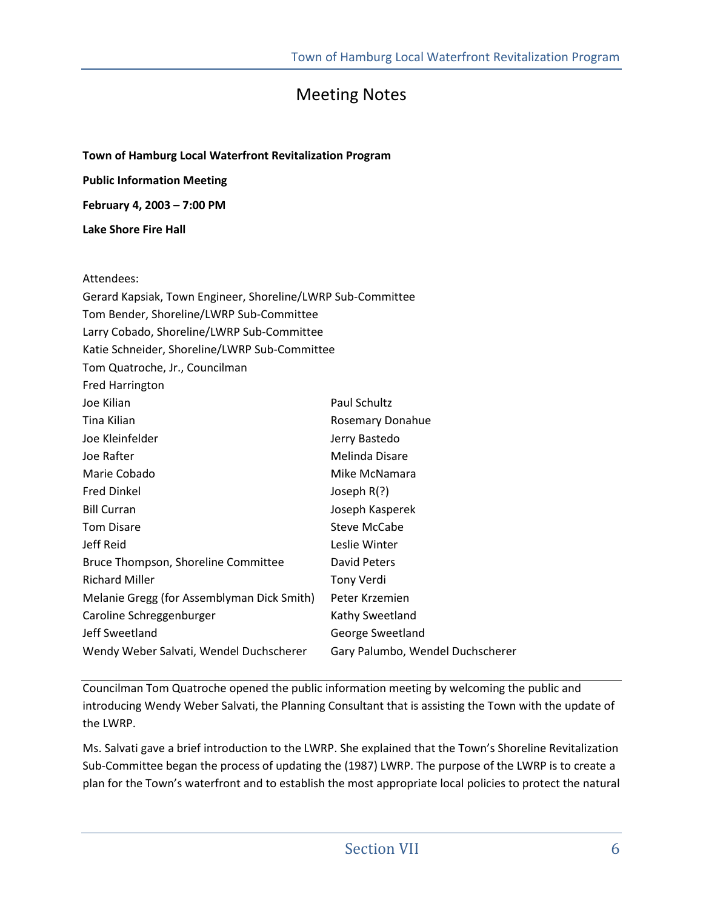## Meeting Notes

**Town of Hamburg Local Waterfront Revitalization Program Public Information Meeting February 4, 2003 – 7:00 PM** 

**Lake Shore Fire Hall** 

#### Attendees:

| Gerard Kapsiak, Town Engineer, Shoreline/LWRP Sub-Committee |                                  |
|-------------------------------------------------------------|----------------------------------|
| Tom Bender, Shoreline/LWRP Sub-Committee                    |                                  |
| Larry Cobado, Shoreline/LWRP Sub-Committee                  |                                  |
| Katie Schneider, Shoreline/LWRP Sub-Committee               |                                  |
| Tom Quatroche, Jr., Councilman                              |                                  |
| <b>Fred Harrington</b>                                      |                                  |
| Joe Kilian                                                  | Paul Schultz                     |
| Tina Kilian                                                 | <b>Rosemary Donahue</b>          |
| Joe Kleinfelder                                             | Jerry Bastedo                    |
| Joe Rafter                                                  | Melinda Disare                   |
| Marie Cobado                                                | Mike McNamara                    |
| <b>Fred Dinkel</b>                                          | Joseph $R(?)$                    |
| <b>Bill Curran</b>                                          | Joseph Kasperek                  |
| <b>Tom Disare</b>                                           | Steve McCabe                     |
| Jeff Reid                                                   | Leslie Winter                    |
| Bruce Thompson, Shoreline Committee                         | David Peters                     |
| <b>Richard Miller</b>                                       | Tony Verdi                       |
| Melanie Gregg (for Assemblyman Dick Smith)                  | Peter Krzemien                   |
| Caroline Schreggenburger                                    | Kathy Sweetland                  |
| Jeff Sweetland                                              | George Sweetland                 |
| Wendy Weber Salvati, Wendel Duchscherer                     | Gary Palumbo, Wendel Duchscherer |

Councilman Tom Quatroche opened the public information meeting by welcoming the public and introducing Wendy Weber Salvati, the Planning Consultant that is assisting the Town with the update of the LWRP.

Ms. Salvati gave a brief introduction to the LWRP. She explained that the Town's Shoreline Revitalization Sub-Committee began the process of updating the (1987) LWRP. The purpose of the LWRP is to create a plan for the Town's waterfront and to establish the most appropriate local policies to protect the natural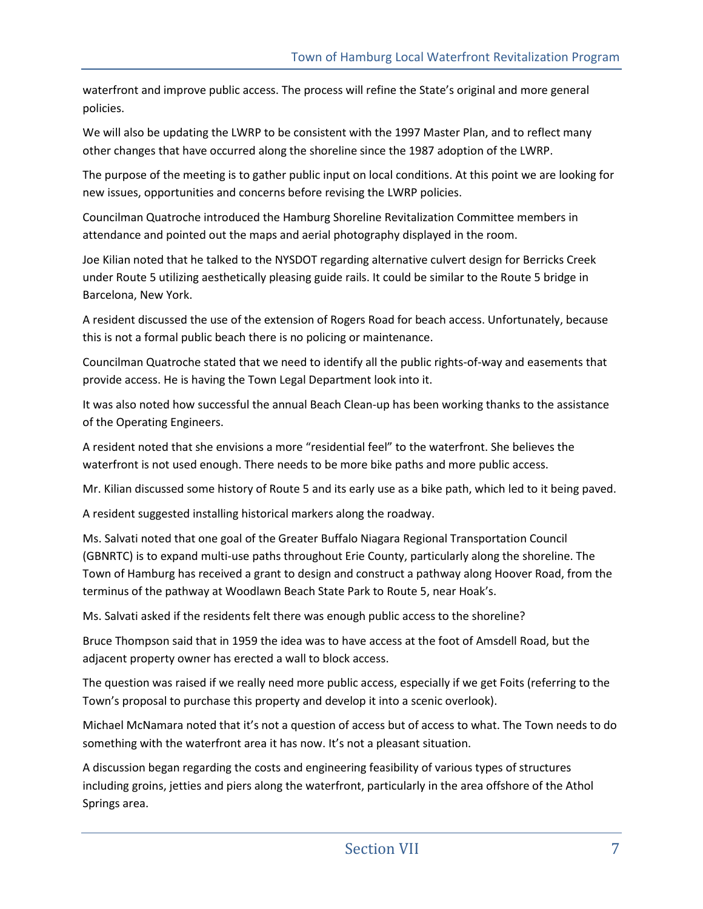waterfront and improve public access. The process will refine the State's original and more general policies.

We will also be updating the LWRP to be consistent with the 1997 Master Plan, and to reflect many other changes that have occurred along the shoreline since the 1987 adoption of the LWRP.

The purpose of the meeting is to gather public input on local conditions. At this point we are looking for new issues, opportunities and concerns before revising the LWRP policies.

Councilman Quatroche introduced the Hamburg Shoreline Revitalization Committee members in attendance and pointed out the maps and aerial photography displayed in the room.

Joe Kilian noted that he talked to the NYSDOT regarding alternative culvert design for Berricks Creek under Route 5 utilizing aesthetically pleasing guide rails. It could be similar to the Route 5 bridge in Barcelona, New York.

A resident discussed the use of the extension of Rogers Road for beach access. Unfortunately, because this is not a formal public beach there is no policing or maintenance.

Councilman Quatroche stated that we need to identify all the public rights-of-way and easements that provide access. He is having the Town Legal Department look into it.

It was also noted how successful the annual Beach Clean-up has been working thanks to the assistance of the Operating Engineers.

A resident noted that she envisions a more "residential feel" to the waterfront. She believes the waterfront is not used enough. There needs to be more bike paths and more public access.

Mr. Kilian discussed some history of Route 5 and its early use as a bike path, which led to it being paved.

A resident suggested installing historical markers along the roadway.

Ms. Salvati noted that one goal of the Greater Buffalo Niagara Regional Transportation Council (GBNRTC) is to expand multi-use paths throughout Erie County, particularly along the shoreline. The Town of Hamburg has received a grant to design and construct a pathway along Hoover Road, from the terminus of the pathway at Woodlawn Beach State Park to Route 5, near Hoak's.

Ms. Salvati asked if the residents felt there was enough public access to the shoreline?

Bruce Thompson said that in 1959 the idea was to have access at the foot of Amsdell Road, but the adjacent property owner has erected a wall to block access.

The question was raised if we really need more public access, especially if we get Foits (referring to the Town's proposal to purchase this property and develop it into a scenic overlook).

Michael McNamara noted that it's not a question of access but of access to what. The Town needs to do something with the waterfront area it has now. It's not a pleasant situation.

A discussion began regarding the costs and engineering feasibility of various types of structures including groins, jetties and piers along the waterfront, particularly in the area offshore of the Athol Springs area.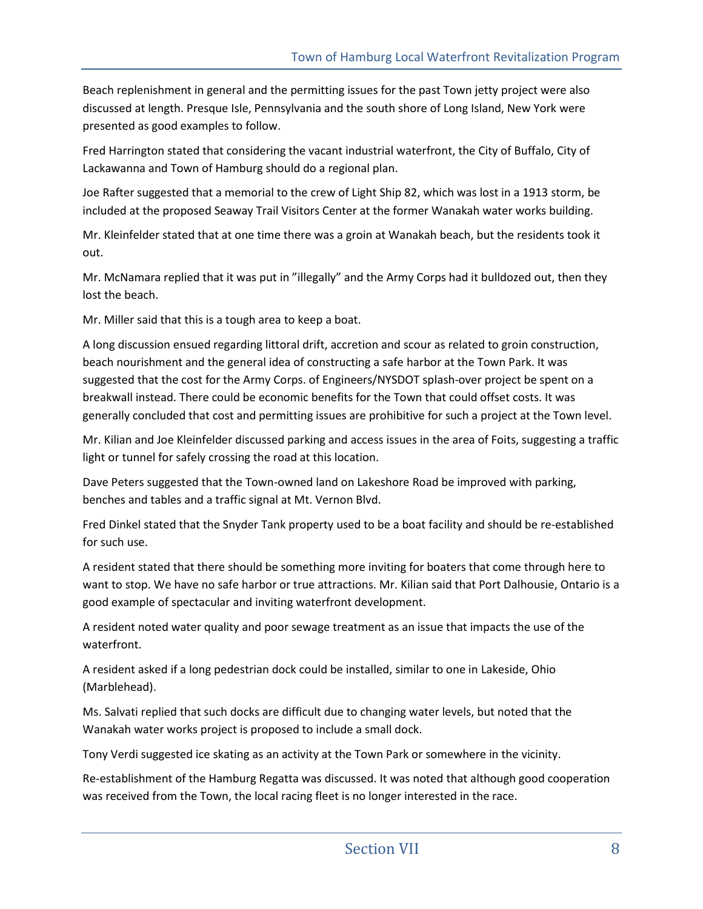Beach replenishment in general and the permitting issues for the past Town jetty project were also discussed at length. Presque Isle, Pennsylvania and the south shore of Long Island, New York were presented as good examples to follow.

Fred Harrington stated that considering the vacant industrial waterfront, the City of Buffalo, City of Lackawanna and Town of Hamburg should do a regional plan.

Joe Rafter suggested that a memorial to the crew of Light Ship 82, which was lost in a 1913 storm, be included at the proposed Seaway Trail Visitors Center at the former Wanakah water works building.

Mr. Kleinfelder stated that at one time there was a groin at Wanakah beach, but the residents took it out.

Mr. McNamara replied that it was put in "illegally" and the Army Corps had it bulldozed out, then they lost the beach.

Mr. Miller said that this is a tough area to keep a boat.

A long discussion ensued regarding littoral drift, accretion and scour as related to groin construction, beach nourishment and the general idea of constructing a safe harbor at the Town Park. It was suggested that the cost for the Army Corps. of Engineers/NYSDOT splash-over project be spent on a breakwall instead. There could be economic benefits for the Town that could offset costs. It was generally concluded that cost and permitting issues are prohibitive for such a project at the Town level.

Mr. Kilian and Joe Kleinfelder discussed parking and access issues in the area of Foits, suggesting a traffic light or tunnel for safely crossing the road at this location.

Dave Peters suggested that the Town-owned land on Lakeshore Road be improved with parking, benches and tables and a traffic signal at Mt. Vernon Blvd.

Fred Dinkel stated that the Snyder Tank property used to be a boat facility and should be re-established for such use.

A resident stated that there should be something more inviting for boaters that come through here to want to stop. We have no safe harbor or true attractions. Mr. Kilian said that Port Dalhousie, Ontario is a good example of spectacular and inviting waterfront development.

A resident noted water quality and poor sewage treatment as an issue that impacts the use of the waterfront.

A resident asked if a long pedestrian dock could be installed, similar to one in Lakeside, Ohio (Marblehead).

Ms. Salvati replied that such docks are difficult due to changing water levels, but noted that the Wanakah water works project is proposed to include a small dock.

Tony Verdi suggested ice skating as an activity at the Town Park or somewhere in the vicinity.

Re-establishment of the Hamburg Regatta was discussed. It was noted that although good cooperation was received from the Town, the local racing fleet is no longer interested in the race.